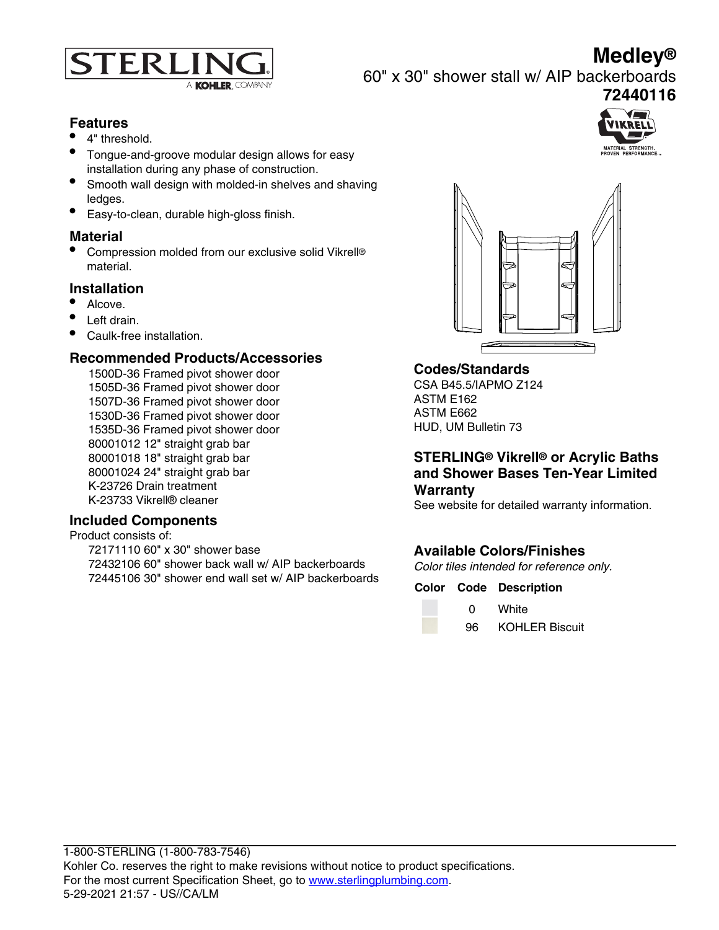

**72440116**



60" x 30" shower stall w/ AIP backerboards

#### **Features**

- 4" threshold.
- Tongue-and-groove modular design allows for easy installation during any phase of construction.
- Smooth wall design with molded-in shelves and shaving ledges.
- Easy-to-clean, durable high-gloss finish.

#### **Material**

• Compression molded from our exclusive solid Vikrell® material.

#### **Installation**

- Alcove.
- Left drain.
- Caulk-free installation

# **Recommended Products/Accessories**

1500D-36 Framed pivot shower door 1505D-36 Framed pivot shower door 1507D-36 Framed pivot shower door 1530D-36 Framed pivot shower door 1535D-36 Framed pivot shower door 80001012 12" straight grab bar 80001018 18" straight grab bar 80001024 24" straight grab bar K-23726 Drain treatment K-23733 Vikrell® cleaner

#### **Included Components**

Product consists of:

72171110 60" x 30" shower base 72432106 60" shower back wall w/ AIP backerboards 72445106 30" shower end wall set w/ AIP backerboards



# **Codes/Standards**

CSA B45.5/IAPMO Z124 ASTM E162 ASTM E662 HUD, UM Bulletin 73

# **STERLING® Vikrell® or Acrylic Baths and Shower Bases Ten-Year Limited Warranty**

See website for detailed warranty information.

# **Available Colors/Finishes**

Color tiles intended for reference only.

# **Color Code Description**

0 White

96 KOHLER Biscuit